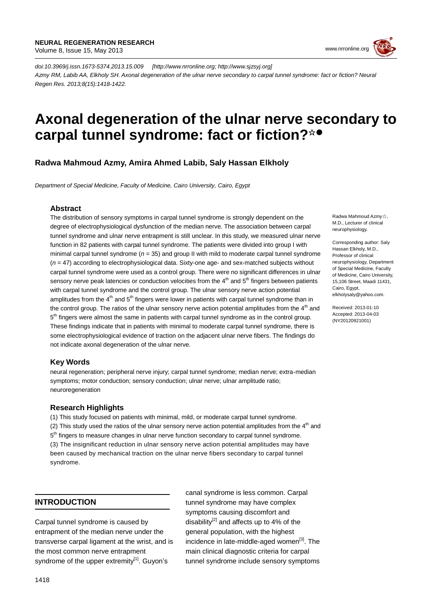

*doi:10.3969/j.issn.1673-5374.2013.15.009 [http://www.nrronline.org; http://www.sjzsyj.org] Azmy RM, Labib AA, Elkholy SH. Axonal degeneration of the ulnar nerve secondary to carpal tunnel syndrome: fact or fiction? Neural Regen Res. 2013;8(15):1418-1422.*

# **Axonal degeneration of the ulnar nerve secondary to carpal tunnel syndrome: fact or fiction?** ☆●

**Radwa Mahmoud Azmy, Amira Ahmed Labib, Saly Hassan Elkholy**

*Department of Special Medicine, Faculty of Medicine, Cairo University, Cairo, Egypt*

## **Abstract**

The distribution of sensory symptoms in carpal tunnel syndrome is strongly dependent on the degree of electrophysiological dysfunction of the median nerve. The association between carpal tunnel syndrome and ulnar nerve entrapment is still unclear. In this study, we measured ulnar nerve function in 82 patients with carpal tunnel syndrome. The patients were divided into group I with minimal carpal tunnel syndrome ( $n = 35$ ) and group II with mild to moderate carpal tunnel syndrome (*n* = 47) according to electrophysiological data. Sixty-one age- and sex-matched subjects without carpal tunnel syndrome were used as a control group. There were no significant differences in ulnar sensory nerve peak latencies or conduction velocities from the  $4<sup>th</sup>$  and  $5<sup>th</sup>$  fingers between patients with carpal tunnel syndrome and the control group. The ulnar sensory nerve action potential amplitudes from the 4<sup>th</sup> and 5<sup>th</sup> fingers were lower in patients with carpal tunnel syndrome than in the control group. The ratios of the ulnar sensory nerve action potential amplitudes from the  $4<sup>th</sup>$  and 5<sup>th</sup> fingers were almost the same in patients with carpal tunnel syndrome as in the control group. These findings indicate that in patients with minimal to moderate carpal tunnel syndrome, there is some electrophysiological evidence of traction on the adjacent ulnar nerve fibers. The findings do not indicate axonal degeneration of the ulnar nerve.

## **Key Words**

neural regeneration; peripheral nerve injury; carpal tunnel syndrome; median nerve; extra-median symptoms; motor conduction; sensory conduction; ulnar nerve; ulnar amplitude ratio; neuroregeneration

### **Research Highlights**

(1) This study focused on patients with minimal, mild, or moderate carpal tunnel syndrome. (2) This study used the ratios of the ulnar sensory nerve action potential amplitudes from the  $4<sup>th</sup>$  and 5<sup>th</sup> fingers to measure changes in ulnar nerve function secondary to carpal tunnel syndrome. (3) The insignificant reduction in ulnar sensory nerve action potential amplitudes may have been caused by mechanical traction on the ulnar nerve fibers secondary to carpal tunnel syndrome.

# **INTRODUCTION**

Carpal tunnel syndrome is caused by entrapment of the median nerve under the transverse carpal ligament at the wrist, and is the most common nerve entrapment syndrome of the upper extremity<sup>[1]</sup>. Guyon's

canal syndrome is less common. Carpal tunnel syndrome may have complex symptoms causing discomfort and disability<sup>[2]</sup> and affects up to 4% of the general population, with the highest incidence in late-middle-aged women<sup>[3]</sup>. The main clinical diagnostic criteria for carpal tunnel syndrome include sensory symptoms

Radwa Mahmoud Azmy☆, M.D., Lecturer of clinical neurophysiology.

Corresponding author: Saly Hassan Elkholy, M.D., Professor of clinical neurophysiology, Department of Special Medicine, Faculty of Medicine, Cairo University, 15,106 Street, Maadi 11431, Cairo, Egypt, elkholysaly@yahoo.com.

Received: 2013-01-10 Accepted: 2013-04-03 (NY20120921001)

٦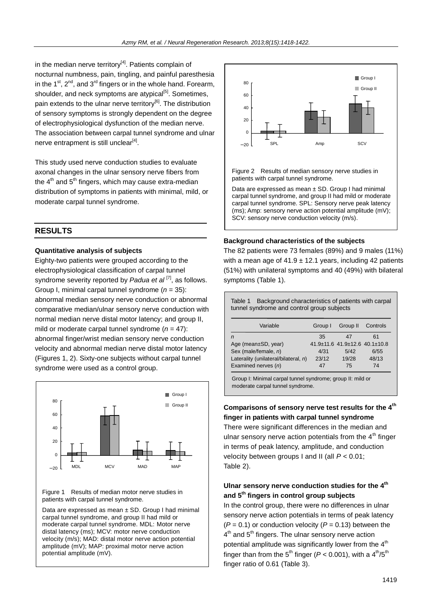in the median nerve territory $[4]$ . Patients complain of nocturnal numbness, pain, tingling, and painful paresthesia in the 1<sup>st</sup>, 2<sup>nd</sup>, and 3<sup>rd</sup> fingers or in the whole hand. Forearm, shoulder, and neck symptoms are atypical<sup>[5]</sup>. Sometimes, pain extends to the ulnar nerve territory<sup>[6]</sup>. The distribution of sensory symptoms is strongly dependent on the degree of electrophysiological dysfunction of the median nerve. The association between carpal tunnel syndrome and ulnar nerve entrapment is still unclear<sup>[4]</sup>.

This study used nerve conduction studies to evaluate axonal changes in the ulnar sensory nerve fibers from the  $4^{\text{th}}$  and  $5^{\text{th}}$  fingers, which may cause extra-median distribution of symptoms in patients with minimal, mild, or moderate carpal tunnel syndrome.

# **RESULTS**

### **Quantitative analysis of subjects**

Eighty-two patients were grouped according to the electrophysiological classification of carpal tunnel syndrome severity reported by *[Padua et al](http://www.sciencedirect.com.dlib.eul.edu.eg/science/article/pii/S1388245707001447#bib31)* <sup>[7]</sup>, as follows. Group I, minimal carpal tunnel syndrome (*n* = 35): abnormal median sensory nerve conduction or abnormal comparative median/ulnar sensory nerve conduction with normal median nerve distal motor latency; and group II, mild or moderate carpal tunnel syndrome (*n* = 47): abnormal finger/wrist median sensory nerve conduction velocity and abnormal median nerve distal motor latency (Figures 1, 2). Sixty-one subjects without carpal tunnel syndrome were used as a control group.



#### Figure 1 Results of median motor nerve studies in patients with carpal tunnel syndrome.

Data are expressed as mean ± SD. Group I had minimal carpal tunnel syndrome, and group II had mild or moderate carpal tunnel syndrome. MDL: Motor nerve distal latency (ms); MCV: motor nerve conduction velocity (m/s); MAD: distal motor nerve action potential amplitude (mV); MAP: proximal motor nerve action potential amplitude (mV).



Figure 2 Results of median sensory nerve studies in patients with carpal tunnel syndrome.

Data are expressed as mean  $\pm$  SD. Group I had minimal carpal tunnel syndrome, and group II had mild or moderate carpal tunnel syndrome. SPL: Sensory nerve peak latency (ms); Amp: sensory nerve action potential amplitude (mV); SCV: sensory nerve conduction velocity (m/s).

### **Background characteristics of the subjects**

The 82 patients were 73 females (89%) and 9 males (11%) with a mean age of  $41.9 \pm 12.1$  years, including 42 patients (51%) with unilateral symptoms and 40 (49%) with bilateral symptoms (Table 1).

| Background characteristics of patients with carpal<br>Table 1<br>tunnel syndrome and control group subjects |         |                                                 |          |  |  |  |  |
|-------------------------------------------------------------------------------------------------------------|---------|-------------------------------------------------|----------|--|--|--|--|
| Variable                                                                                                    | Group I | Group II                                        | Controls |  |  |  |  |
| $\overline{r}$                                                                                              | 35      | 47                                              | 61       |  |  |  |  |
| Age (mean±SD, year)                                                                                         |         | $41.9 \pm 11.6$ $41.9 \pm 12.6$ $40.1 \pm 10.8$ |          |  |  |  |  |
| Sex (male/female, n)                                                                                        | 4/31    | 5/42                                            | 6/55     |  |  |  |  |
| Laterality (unilateral/bilateral, n)                                                                        | 23/12   | 19/28                                           | 48/13    |  |  |  |  |
| Examined nerves (n)                                                                                         | 47      | 75                                              | 74       |  |  |  |  |
| Group I: Minimal carpal tunnel syndrome; group II: mild or                                                  |         |                                                 |          |  |  |  |  |

moderate carpal tunnel syndrome.

## Comparisons of sensory nerve test results for the 4<sup>th</sup> **finger in patients with carpal tunnel syndrome**

There were significant differences in the median and ulnar sensory nerve action potentials from the  $4<sup>th</sup>$  finger in terms of peak latency, amplitude, and conduction velocity between groups I and II (all *P* < 0.01; Table 2).

# Ulnar sensory nerve conduction studies for the 4<sup>th</sup> **and 5 th fingers in control group subjects**

In the control group, there were no differences in ulnar sensory nerve action potentials in terms of peak latency  $(P = 0.1)$  or conduction velocity  $(P = 0.13)$  between the 4<sup>th</sup> and 5<sup>th</sup> fingers. The ulnar sensory nerve action potential amplitude was significantly lower from the  $4<sup>th</sup>$ finger than from the 5<sup>th</sup> finger ( $P < 0.001$ ), with a 4<sup>th</sup>/5<sup>th</sup> finger ratio of 0.61 (Table 3).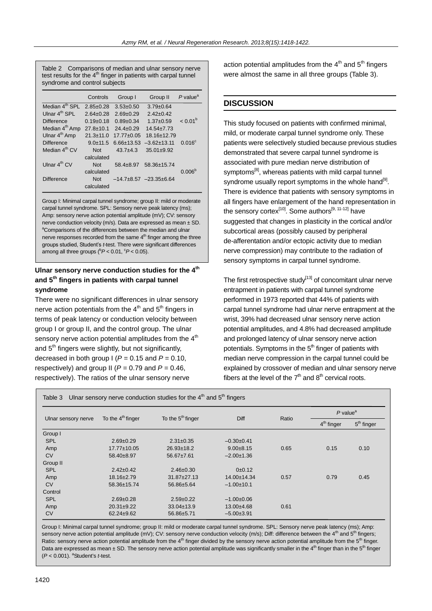Table 2 Comparisons of median and ulnar sensory nerve test results for the  $4<sup>th</sup>$  finger in patients with carpal tunnel syndrome and control subjects

|                            | Controls        | Group I          | Group II                   | $P$ value <sup>a</sup> |
|----------------------------|-----------------|------------------|----------------------------|------------------------|
| Median 4 <sup>th</sup> SPI | $2.85 \pm 0.28$ | $3.53 \pm 0.50$  | $3.79 \pm 0.64$            |                        |
| Ulnar 4 <sup>th</sup> SPL  | $2.64 \pm 0.28$ | $2.69 \pm 0.29$  | $2.42 \pm 0.42$            |                        |
| Difference                 | $0.19+0.18$     | $0.89 \pm 0.34$  | $1.37 \pm 0.59$            | $< 0.01^{\circ}$       |
| Median 4 <sup>th</sup> Amp | $27.8 + 10.1$   | $24.4 \pm 0.29$  | $14.54 \pm 7.73$           |                        |
| Ulnar 4 <sup>th</sup> Amp  | $21.3 \pm 11.0$ | $17.77 \pm 0.05$ | 18.16±12.79                |                        |
| <b>Difference</b>          | $9.0 \pm 11.5$  | $6.66 \pm 13.53$ | $-3.62 \pm 13.11$          | $0.016^{\circ}$        |
| Median 4 <sup>th</sup> CV  | <b>Not</b>      | $43.7 + 4.3$     | $35.01 \pm 9.92$           |                        |
|                            | calculated      |                  |                            |                        |
| Ulnar $4^{th}$ CV          | Not             | $58.4 + 8.97$    | 58.36±15.74                |                        |
|                            | calculated      |                  |                            | 0.006 <sup>b</sup>     |
| <b>Difference</b>          | <b>Not</b>      |                  | $-14.7+8.57$ $-23.35+6.64$ |                        |
|                            | calculated      |                  |                            |                        |

Group I: Minimal carpal tunnel syndrome; group II: mild or moderate carpal tunnel syndrome. SPL: Sensory nerve peak latency (ms); Amp: sensory nerve action potential amplitude (mV); CV: sensory nerve conduction velocity (m/s). Data are expressed as mean ± SD. <sup>a</sup>Comparisons of the differences between the median and ulnar nerve responses recorded from the same  $4<sup>th</sup>$  finger among the three groups studied, Student's *t*-test. There were significant differences among all three groups ( ${}^{b}P$  < 0.01,  ${}^{c}P$  < 0.05).

# **Ulnar sensory nerve conduction studies for the 4th and 5th fingers in patients with carpal tunnel syndrome**

There were no significant differences in ulnar sensory nerve action potentials from the  $4<sup>th</sup>$  and  $5<sup>th</sup>$  fingers in terms of peak latency or conduction velocity between group I or group II, and the control group. The ulnar sensory nerve action potential amplitudes from the  $4<sup>th</sup>$ and  $5<sup>th</sup>$  fingers were slightly, but not significantly, decreased in both group  $I (P = 0.15$  and  $P = 0.10$ , respectively) and group II ( $P = 0.79$  and  $P = 0.46$ , respectively). The ratios of the ulnar sensory nerve

action potential amplitudes from the  $4<sup>th</sup>$  and  $5<sup>th</sup>$  fingers were almost the same in all three groups (Table 3).

# **DISCUSSION**

This study focused on patients with confirmed minimal, mild, or moderate carpal tunnel syndrome only. These patients were selectively studied because previous studies demonstrated that severe carpal tunnel syndrome is associated with pure median nerve distribution of symptoms<sup>[8]</sup>, whereas patients with mild carpal tunnel syndrome usually report symptoms in the whole hand<sup>[9]</sup>. There is evidence that patients with sensory symptoms in all fingers have enlargement of the hand representation in the sensory cortex<sup>[10]</sup>. Some authors<sup>[9, 11-12]</sup> have suggested that changes in plasticity in the cortical and/or subcortical areas (possibly caused by peripheral de-afferentation and/or ectopic activity due to median nerve compression) may contribute to the radiation of sensory symptoms in carpal tunnel syndrome.

The first retrospective study<sup>[13]</sup> of concomitant ulnar nerve entrapment in patients with carpal tunnel syndrome performed in 1973 reported that 44% of patients with carpal tunnel syndrome had ulnar nerve entrapment at the wrist, 39% had decreased ulnar sensory nerve action potential amplitudes, and 4.8% had decreased amplitude and prolonged latency of ulnar sensory nerve action potentials. Symptoms in the  $5<sup>th</sup>$  finger of patients with median nerve compression in the carpal tunnel could be explained by crossover of median and ulnar sensory nerve fibers at the level of the  $7<sup>th</sup>$  and  $8<sup>th</sup>$  cervical roots.

| Ulnar sensory nerve conduction studies for the $4th$ and $5th$ fingers<br>Table 3 |                     |                               |                  |       |                        |              |  |
|-----------------------------------------------------------------------------------|---------------------|-------------------------------|------------------|-------|------------------------|--------------|--|
| Ulnar sensory nerve                                                               | To the $4th$ finger | To the 5 <sup>th</sup> finger | Diff             | Ratio | $P$ value <sup>a</sup> |              |  |
|                                                                                   |                     |                               |                  |       | $4th$ finger           | $5th$ finger |  |
| Group I                                                                           |                     |                               |                  |       |                        |              |  |
| <b>SPL</b>                                                                        | $2.69 + 0.29$       | $2.31 \pm 0.35$               | $-0.30+0.41$     |       |                        |              |  |
| Amp                                                                               | $17.77 \pm 10.05$   | $26.93 \pm 18.2$              | $9.00 + 8.15$    | 0.65  | 0.15                   | 0.10         |  |
| <b>CV</b>                                                                         | 58.40±8.97          | $56.67 \pm 7.61$              | $-2.00+1.36$     |       |                        |              |  |
| Group II                                                                          |                     |                               |                  |       |                        |              |  |
| <b>SPL</b>                                                                        | $2.42 \pm 0.42$     | $2.46 \pm 0.30$               | 0±0.12           |       |                        |              |  |
| Amp                                                                               | 18.16±2.79          | $31.87 \pm 27.13$             | 14.00±14.34      | 0.57  | 0.79                   | 0.45         |  |
| <b>CV</b>                                                                         | 58.36±15.74         | 56.86±5.64                    | $-1.00 \pm 10.1$ |       |                        |              |  |
| Control                                                                           |                     |                               |                  |       |                        |              |  |
| <b>SPL</b>                                                                        | $2.69 \pm 0.28$     | $2.59+0.22$                   | $-1.00+0.06$     |       |                        |              |  |
| Amp                                                                               | $20.31 \pm 9.22$    | $33.04 \pm 13.9$              | $13.00 + 4.68$   | 0.61  |                        |              |  |
| CV                                                                                | $62.24 \pm 9.62$    | 56.86±5.71                    | $-5.00\pm3.91$   |       |                        |              |  |

Group I: Minimal carpal tunnel syndrome; group II: mild or moderate carpal tunnel syndrome. SPL: Sensory nerve peak latency (ms); Amp: sensory nerve action potential amplitude (mV); CV: sensory nerve conduction velocity (m/s); Diff: difference between the 4<sup>th</sup> and 5<sup>th</sup> fingers; Ratio: sensory nerve action potential amplitude from the 4<sup>th</sup> finger divided by the sensory nerve action potential amplitude from the 5<sup>th</sup> finger. Data are expressed as mean  $\pm$  SD. The sensory nerve action potential amplitude was significantly smaller in the 4<sup>th</sup> finger than in the 5<sup>th</sup> finger (*P* < 0.001). <sup>a</sup>Student's *t*-test.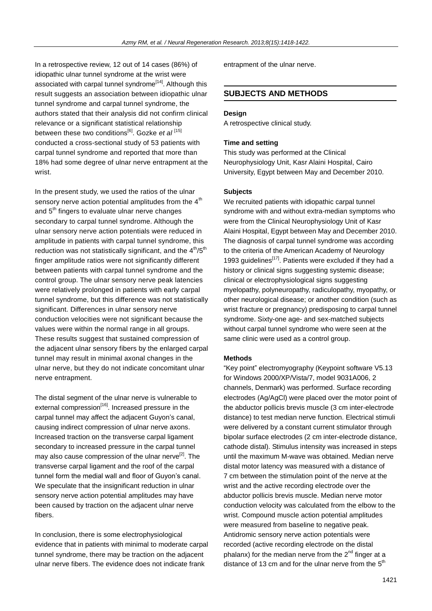In a retrospective review, 12 out of 14 cases (86%) of idiopathic ulnar tunnel syndrome at the wrist were associated with carpal tunnel syndrome<sup>[14]</sup>. Although this result suggests an association between idiopathic ulnar tunnel syndrome and carpal tunnel syndrome, the authors stated that their analysis did not confirm clinical relevance or a significant statistical relationship between these two conditions<sup>[6]</sup>. Gozke *et al* [15] conducted a cross-sectional study of 53 patients with carpal tunnel syndrome and reported that more than 18% had some degree of ulnar nerve entrapment at the wrist.

In the present study, we used the ratios of the ulnar sensory nerve action potential amplitudes from the  $4<sup>th</sup>$ and  $5<sup>th</sup>$  fingers to evaluate ulnar nerve changes secondary to carpal tunnel syndrome. Although the ulnar sensory nerve action potentials were reduced in amplitude in patients with carpal tunnel syndrome, this reduction was not statistically significant, and the  $4<sup>th</sup>/5<sup>th</sup>$ finger amplitude ratios were not significantly different between patients with carpal tunnel syndrome and the control group. The ulnar sensory nerve peak latencies were relatively prolonged in patients with early carpal tunnel syndrome, but this difference was not statistically significant. Differences in ulnar sensory nerve conduction velocities were not significant because the values were within the normal range in all groups. These results suggest that sustained compression of the adjacent ulnar sensory fibers by the enlarged carpal tunnel may result in minimal axonal changes in the ulnar nerve, but they do not indicate concomitant ulnar nerve entrapment.

The distal segment of the ulnar nerve is vulnerable to external compression<sup>[16]</sup>. Increased pressure in the carpal tunnel may affect the adjacent Guyon's canal, causing indirect compression of ulnar nerve axons. Increased traction on the transverse carpal ligament secondary to increased pressure in the carpal tunnel may also cause compression of the ulnar nerve<sup>[2]</sup>. The transverse carpal ligament and the roof of the carpal tunnel form the medial wall and floor of Guyon's canal. We speculate that the insignificant reduction in ulnar sensory nerve action potential amplitudes may have been caused by traction on the adjacent ulnar nerve fibers.

In conclusion, there is some electrophysiological evidence that in patients with minimal to moderate carpal tunnel syndrome, there may be traction on the adjacent ulnar nerve fibers. The evidence does not indicate frank

entrapment of the ulnar nerve.

## **SUBJECTS AND METHODS**

#### **Design**

A retrospective clinical study.

#### **Time and setting**

This study was performed at the Clinical Neurophysiology Unit, Kasr Alaini Hospital, Cairo University, Egypt between May and December 2010.

#### **Subjects**

We recruited patients with idiopathic carpal tunnel syndrome with and without extra-median symptoms who were from the Clinical Neurophysiology Unit of Kasr Alaini Hospital, Egypt between May and December 2010. The diagnosis of carpal tunnel syndrome was according to the criteria of the American Academy of Neurology 1993 guidelines<sup>[17]</sup>. Patients were excluded if they had a history or clinical signs suggesting systemic disease; clinical or electrophysiological signs suggesting myelopathy, polyneuropathy, radiculopathy, myopathy, or other neurological disease; or another condition (such as wrist fracture or pregnancy) predisposing to carpal tunnel syndrome. Sixty-one age- and sex-matched subjects without carpal tunnel syndrome who were seen at the same clinic were used as a control group.

#### **Methods**

"Key point" electromyography (Keypoint software V5.13 for Windows 2000/XP/Vista/7, model 9031A006, 2 channels, Denmark) was performed. Surface recording electrodes (Ag/AgCl) were placed over the motor point of the abductor pollicis brevis muscle (3 cm inter-electrode distance) to test median nerve function. Electrical stimuli were delivered by a constant current stimulator through bipolar surface electrodes (2 cm inter-electrode distance, cathode distal). Stimulus intensity was increased in steps until the maximum M-wave was obtained. Median nerve distal motor latency was measured with a distance of 7 cm between the stimulation point of the nerve at the wrist and the active recording electrode over the abductor pollicis brevis muscle. Median nerve motor conduction velocity was calculated from the elbow to the wrist. Compound muscle action potential amplitudes were measured from baseline to negative peak. Antidromic sensory nerve action potentials were recorded (active recording electrode on the distal phalanx) for the median nerve from the  $2^{nd}$  finger at a distance of 13 cm and for the ulnar nerve from the  $5<sup>th</sup>$